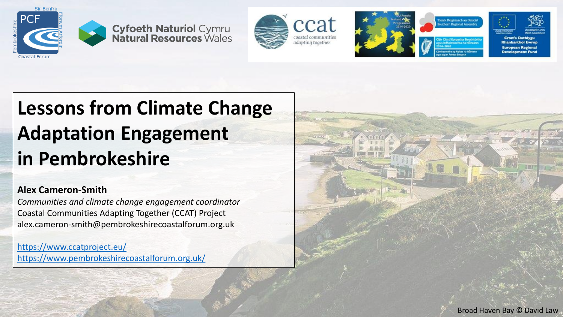













# **Lessons from Climate Change Adaptation Engagement in Pembrokeshire**

### **Alex Cameron-Smith**

*Communities and climate change engagement coordinator* Coastal Communities Adapting Together (CCAT) Project alex.cameron-smith@pembrokeshirecoastalforum.org.uk

<https://www.ccatproject.eu/> <https://www.pembrokeshirecoastalforum.org.uk/>

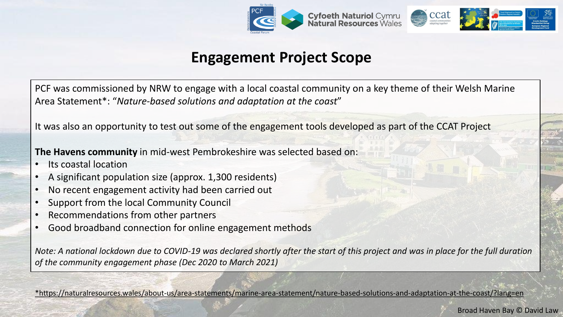

## **Engagement Project Scope**

PCF was commissioned by NRW to engage with a local coastal community on a key theme of their Welsh Marine Area Statement\*: "*Nature-based solutions and adaptation at the coast*"

It was also an opportunity to test out some of the engagement tools developed as part of the CCAT Project

**The Havens community** in mid-west Pembrokeshire was selected based on:

- Its coastal location
- A significant population size (approx. 1,300 residents)
- No recent engagement activity had been carried out
- Support from the local Community Council
- Recommendations from other partners
- Good broadband connection for online engagement methods

*Note: A national lockdown due to COVID-19 was declared shortly after the start of this project and was in place for the full duration of the community engagement phase (Dec 2020 to March 2021)*

[\\*https://naturalresources.wales/about-us/area-statements/marine-area-statement/nature-based-solutions-and-adaptation-at-the-coast/?lang=en](https://naturalresources.wales/about-us/area-statements/marine-area-statement/nature-based-solutions-and-adaptation-at-the-coast/?lang=en)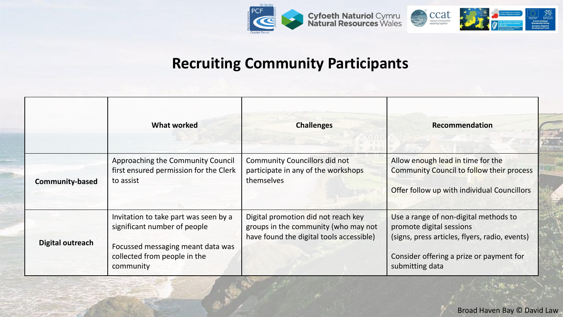

### **Recruiting Community Participants**

|                         | <b>What worked</b>                                                                                                                                      | <b>Challenges</b>                                                                                                       | Recommendation                                                                                                                                                                     |
|-------------------------|---------------------------------------------------------------------------------------------------------------------------------------------------------|-------------------------------------------------------------------------------------------------------------------------|------------------------------------------------------------------------------------------------------------------------------------------------------------------------------------|
| <b>Community-based</b>  | Approaching the Community Council<br>first ensured permission for the Clerk<br>to assist                                                                | <b>Community Councillors did not</b><br>participate in any of the workshops<br>themselves                               | Allow enough lead in time for the<br>Community Council to follow their process<br>Offer follow up with individual Councillors                                                      |
| <b>Digital outreach</b> | Invitation to take part was seen by a<br>significant number of people<br>Focussed messaging meant data was<br>collected from people in the<br>community | Digital promotion did not reach key<br>groups in the community (who may not<br>have found the digital tools accessible) | Use a range of non-digital methods to<br>promote digital sessions<br>(signs, press articles, flyers, radio, events)<br>Consider offering a prize or payment for<br>submitting data |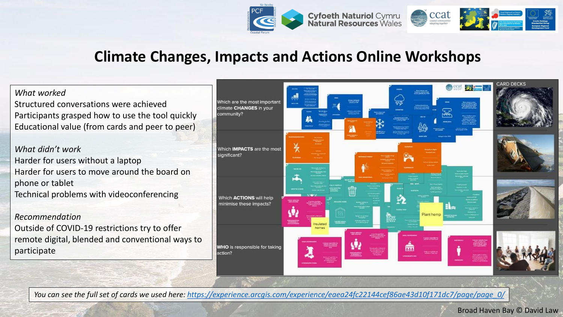

### **Climate Changes, Impacts and Actions Online Workshops**

*What worked*

Structured conversations were achieved Participants grasped how to use the tool quickly Educational value (from cards and peer to peer)

*What didn't work* Harder for users without a laptop Harder for users to move around the board on phone or tablet Technical problems with videoconferencing

*Recommendation*

Outside of COVID-19 restrictions try to offer remote digital, blended and conventional ways to participate



*You can see the full set of cards we used here: [https://experience.arcgis.com/experience/eaea24fc22144cef86ae43d10f171dc7/page/page\\_0/](https://experience.arcgis.com/experience/eaea24fc22144cef86ae43d10f171dc7/page/page_0/)*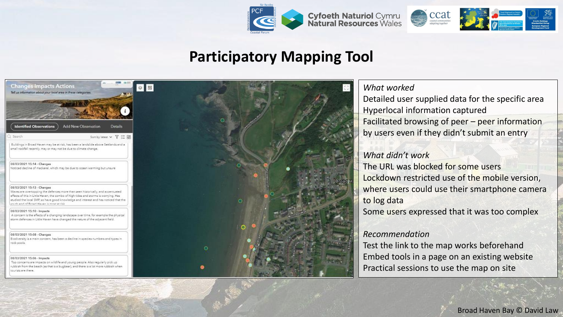

### **Participatory Mapping Tool**

| <b>Changes Impacts Actions</b><br>Tell us information about your local area in these categories.                                                                                                                                                                                                                                        |                            |                      |  |
|-----------------------------------------------------------------------------------------------------------------------------------------------------------------------------------------------------------------------------------------------------------------------------------------------------------------------------------------|----------------------------|----------------------|--|
|                                                                                                                                                                                                                                                                                                                                         |                            |                      |  |
| <b>Identified Observations</b>                                                                                                                                                                                                                                                                                                          | <b>Add New Observation</b> | Details              |  |
| 3 Search                                                                                                                                                                                                                                                                                                                                |                            | Sort by Intest v 了三郎 |  |
| Buildings in Broad Haven may be at risk, has been a landslide above Settlands and a<br>small rockfall recently, may or may not be due to climate change.                                                                                                                                                                                |                            |                      |  |
| 08/03/2021 15:14 - Changes<br>Noticed decline of mackerel, which may be due to ocean warming but unaure                                                                                                                                                                                                                                 |                            |                      |  |
| 08/03/2021 15:13 - Changes<br>Weves are overtopping the defences more than seen historically, and accentuated<br>effects of this in Little Heven, the combo of high tides and storms is worrying. Has<br>studied the local SMP so have good knowledge and interest and has noticed that the<br>south and of Renad Hauan is most at risk |                            |                      |  |
| 08/03/2021 15:10 - Impacts<br>A concern is the effects of a changing landscape over time, for example the physical<br>storm defences in Little Haven have changed the nature of the adjacent field.                                                                                                                                     |                            |                      |  |
| 08/03/2021 15:08 - Changes<br>Biodiversity is a main concern, has been a decline in species numbers and types in<br>rack pools.                                                                                                                                                                                                         |                            |                      |  |
| 08/03/2021 15:06 - Impacts<br>Top concerns are impacts on wildlife and young people. Also regularly pick up<br>rubbish from the beach (as that is a bugbear), and there is a lot more rubbish when<br>tourists are there.                                                                                                               |                            |                      |  |



#### *What worked*

Detailed user supplied data for the specific area Hyperlocal information captured Facilitated browsing of peer – peer information by users even if they didn't submit an entry

#### *What didn't work*

The URL was blocked for some users Lockdown restricted use of the mobile version, where users could use their smartphone camera to log data

Some users expressed that it was too complex

#### *Recommendation*

Test the link to the map works beforehand Embed tools in a page on an existing website Practical sessions to use the map on site

Broad Haven Bay © David Law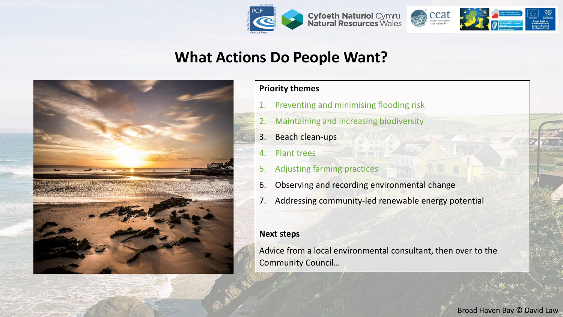



## **What Actions Do People Want?**



#### **Priority themes**

- 1. Preventing and minimising flooding risk
- 2. Maintaining and increasing biodiversity
- 3. Beach clean-ups
- 4. Plant trees
- 5. Adjusting farming practices
- 6. Observing and recording environmental change
- 7. Addressing community-led renewable energy potential

#### **Next steps**

Advice from a local environmental consultant, then over to the Community Council…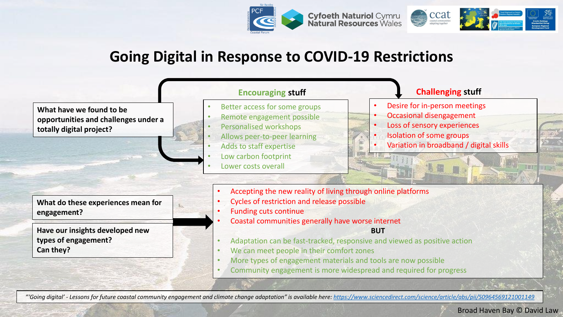

### **Going Digital in Response to COVID-19 Restrictions**



Broad Haven Bay © David Law